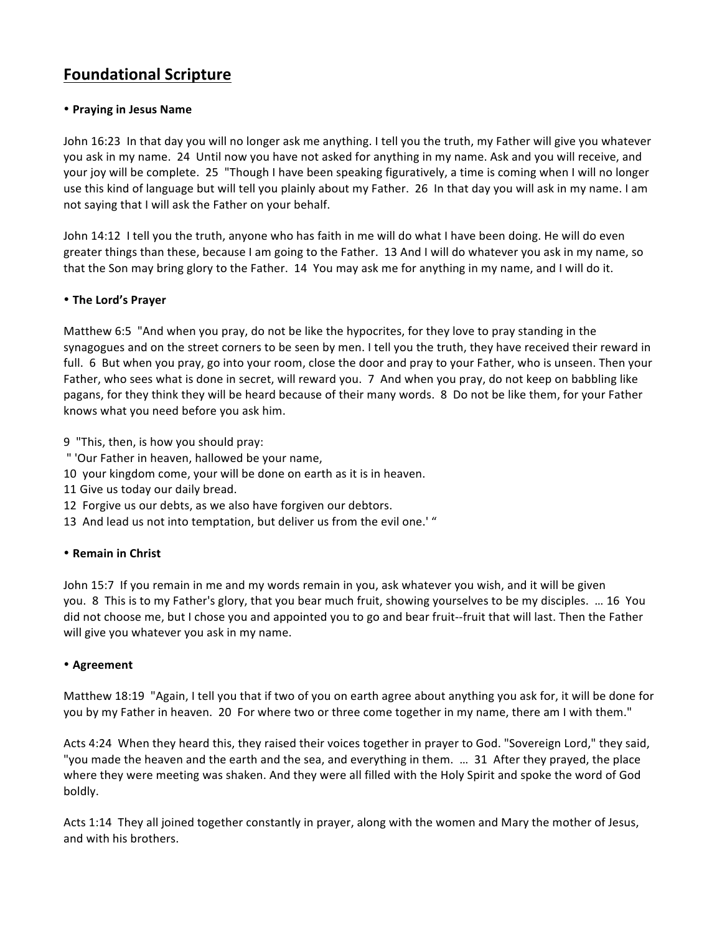# **Foundational Scripture**

## • **Praying in Jesus Name**

John 16:23 In that day you will no longer ask me anything. I tell you the truth, my Father will give you whatever you ask in my name. 24 Until now you have not asked for anything in my name. Ask and you will receive, and your joy will be complete. 25 "Though I have been speaking figuratively, a time is coming when I will no longer use this kind of language but will tell you plainly about my Father. 26 In that day you will ask in my name. I am not saying that I will ask the Father on your behalf.

John 14:12 I tell you the truth, anyone who has faith in me will do what I have been doing. He will do even greater things than these, because I am going to the Father. 13 And I will do whatever you ask in my name, so that the Son may bring glory to the Father. 14 You may ask me for anything in my name, and I will do it.

## • **The Lord's Prayer**

Matthew 6:5 "And when you pray, do not be like the hypocrites, for they love to pray standing in the synagogues and on the street corners to be seen by men. I tell you the truth, they have received their reward in full. 6 But when you pray, go into your room, close the door and pray to your Father, who is unseen. Then your Father, who sees what is done in secret, will reward you. 7 And when you pray, do not keep on babbling like pagans, for they think they will be heard because of their many words. 8 Do not be like them, for your Father knows what you need before you ask him.

9 "This, then, is how you should pray:

- " 'Our Father in heaven, hallowed be your name,
- 10 your kingdom come, your will be done on earth as it is in heaven.
- 11 Give us today our daily bread.
- 12 Forgive us our debts, as we also have forgiven our debtors.
- 13 And lead us not into temptation, but deliver us from the evil one.' "

## • **Remain in Christ**

John 15:7 If you remain in me and my words remain in you, ask whatever you wish, and it will be given you. 8 This is to my Father's glory, that you bear much fruit, showing yourselves to be my disciples. ... 16 You did not choose me, but I chose you and appointed you to go and bear fruit--fruit that will last. Then the Father will give you whatever you ask in my name.

## • **Agreement**

Matthew 18:19 "Again, I tell you that if two of you on earth agree about anything you ask for, it will be done for you by my Father in heaven. 20 For where two or three come together in my name, there am I with them."

Acts 4:24 When they heard this, they raised their voices together in prayer to God. "Sovereign Lord," they said, "you made the heaven and the earth and the sea, and everything in them. ... 31 After they prayed, the place where they were meeting was shaken. And they were all filled with the Holy Spirit and spoke the word of God boldly.

Acts 1:14 They all joined together constantly in prayer, along with the women and Mary the mother of Jesus, and with his brothers.